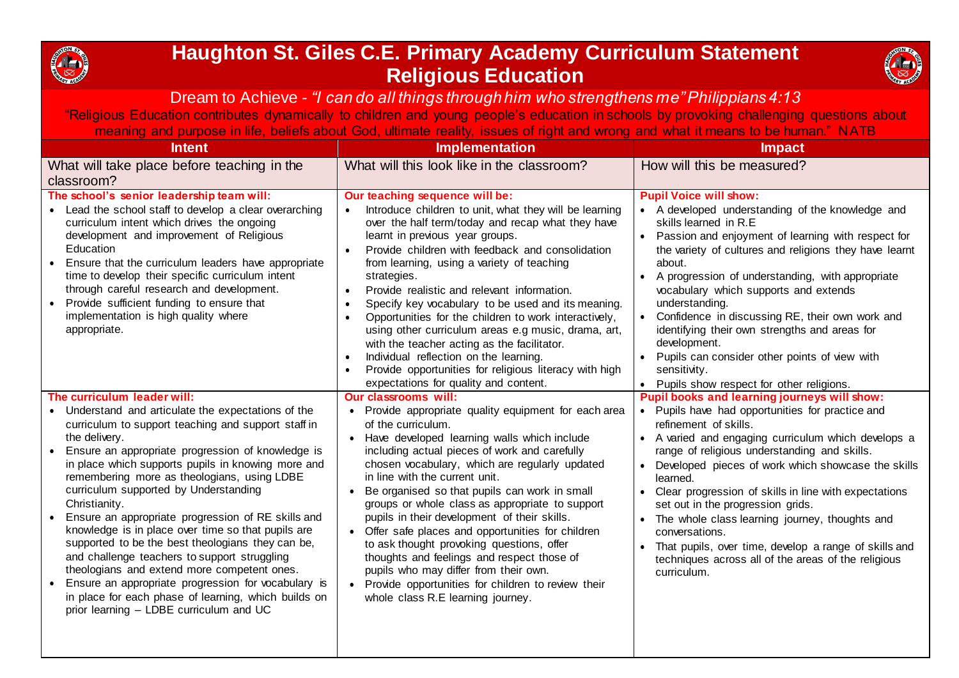

## **Haughton St. Giles C.E. Primary Academy Curriculum Statement Religious Education**



## Dream to Achieve *- "I can do all things through him who strengthens me" Philippians 4:13*

"Religious Education contributes dynamically to children and young people's education in schools by provoking challenging questions about meaning and purpose in life, beliefs about God, ultimate reality, issues of right and wrong and what it means to be human." NATB

| <b>Intent</b>                                                                                                                                                                                                                                                                                                                                                                                                                                                                                                                                                                                                                                                                                                                                                                                            | <b>Implementation</b>                                                                                                                                                                                                                                                                                                                                                                                                                                                                                                                                                                                                                                                                                                                                             | <b>Impact</b>                                                                                                                                                                                                                                                                                                                                                                                                                                                                                                                                                                                               |
|----------------------------------------------------------------------------------------------------------------------------------------------------------------------------------------------------------------------------------------------------------------------------------------------------------------------------------------------------------------------------------------------------------------------------------------------------------------------------------------------------------------------------------------------------------------------------------------------------------------------------------------------------------------------------------------------------------------------------------------------------------------------------------------------------------|-------------------------------------------------------------------------------------------------------------------------------------------------------------------------------------------------------------------------------------------------------------------------------------------------------------------------------------------------------------------------------------------------------------------------------------------------------------------------------------------------------------------------------------------------------------------------------------------------------------------------------------------------------------------------------------------------------------------------------------------------------------------|-------------------------------------------------------------------------------------------------------------------------------------------------------------------------------------------------------------------------------------------------------------------------------------------------------------------------------------------------------------------------------------------------------------------------------------------------------------------------------------------------------------------------------------------------------------------------------------------------------------|
| What will take place before teaching in the                                                                                                                                                                                                                                                                                                                                                                                                                                                                                                                                                                                                                                                                                                                                                              | What will this look like in the classroom?                                                                                                                                                                                                                                                                                                                                                                                                                                                                                                                                                                                                                                                                                                                        | How will this be measured?                                                                                                                                                                                                                                                                                                                                                                                                                                                                                                                                                                                  |
| classroom?                                                                                                                                                                                                                                                                                                                                                                                                                                                                                                                                                                                                                                                                                                                                                                                               |                                                                                                                                                                                                                                                                                                                                                                                                                                                                                                                                                                                                                                                                                                                                                                   |                                                                                                                                                                                                                                                                                                                                                                                                                                                                                                                                                                                                             |
| The school's senior leadership team will:<br>• Lead the school staff to develop a clear overarching<br>curriculum intent which drives the ongoing<br>development and improvement of Religious<br>Education<br>Ensure that the curriculum leaders have appropriate<br>time to develop their specific curriculum intent<br>through careful research and development.<br>Provide sufficient funding to ensure that<br>implementation is high quality where<br>appropriate.                                                                                                                                                                                                                                                                                                                                  | Our teaching sequence will be:<br>Introduce children to unit, what they will be learning<br>over the half term/today and recap what they have<br>learnt in previous year groups.<br>Provide children with feedback and consolidation<br>$\bullet$<br>from learning, using a variety of teaching<br>strategies.<br>Provide realistic and relevant information.<br>$\bullet$<br>Specify key vocabulary to be used and its meaning.<br>Opportunities for the children to work interactively,<br>using other curriculum areas e.g music, drama, art,<br>with the teacher acting as the facilitator.<br>Individual reflection on the learning.<br>Provide opportunities for religious literacy with high<br>expectations for quality and content.                      | <b>Pupil Voice will show:</b><br>• A developed understanding of the knowledge and<br>skills learned in R.E<br>• Passion and enjoyment of learning with respect for<br>the variety of cultures and religions they have learnt<br>about.<br>A progression of understanding, with appropriate<br>vocabulary which supports and extends<br>understanding.<br>• Confidence in discussing RE, their own work and<br>identifying their own strengths and areas for<br>development.<br>• Pupils can consider other points of view with<br>sensitivity.<br>• Pupils show respect for other religions.                |
| The curriculum leader will:<br>• Understand and articulate the expectations of the<br>curriculum to support teaching and support staff in<br>the delivery.<br>Ensure an appropriate progression of knowledge is<br>in place which supports pupils in knowing more and<br>remembering more as theologians, using LDBE<br>curriculum supported by Understanding<br>Christianity.<br>Ensure an appropriate progression of RE skills and<br>knowledge is in place over time so that pupils are<br>supported to be the best theologians they can be,<br>and challenge teachers to support struggling<br>theologians and extend more competent ones.<br>Ensure an appropriate progression for vocabulary is<br>in place for each phase of learning, which builds on<br>prior learning - LDBE curriculum and UC | <b>Our classrooms will:</b><br>Provide appropriate quality equipment for each area<br>of the curriculum.<br>Have developed learning walls which include<br>$\bullet$<br>including actual pieces of work and carefully<br>chosen vocabulary, which are regularly updated<br>in line with the current unit.<br>Be organised so that pupils can work in small<br>$\bullet$<br>groups or whole class as appropriate to support<br>pupils in their development of their skills.<br>• Offer safe places and opportunities for children<br>to ask thought provoking questions, offer<br>thoughts and feelings and respect those of<br>pupils who may differ from their own.<br>• Provide opportunities for children to review their<br>whole class R.E learning journey. | Pupil books and learning journeys will show:<br>• Pupils have had opportunities for practice and<br>refinement of skills.<br>• A varied and engaging curriculum which develops a<br>range of religious understanding and skills.<br>• Developed pieces of work which showcase the skills<br>learned.<br>• Clear progression of skills in line with expectations<br>set out in the progression grids.<br>• The whole class learning journey, thoughts and<br>conversations.<br>• That pupils, over time, develop a range of skills and<br>techniques across all of the areas of the religious<br>curriculum. |